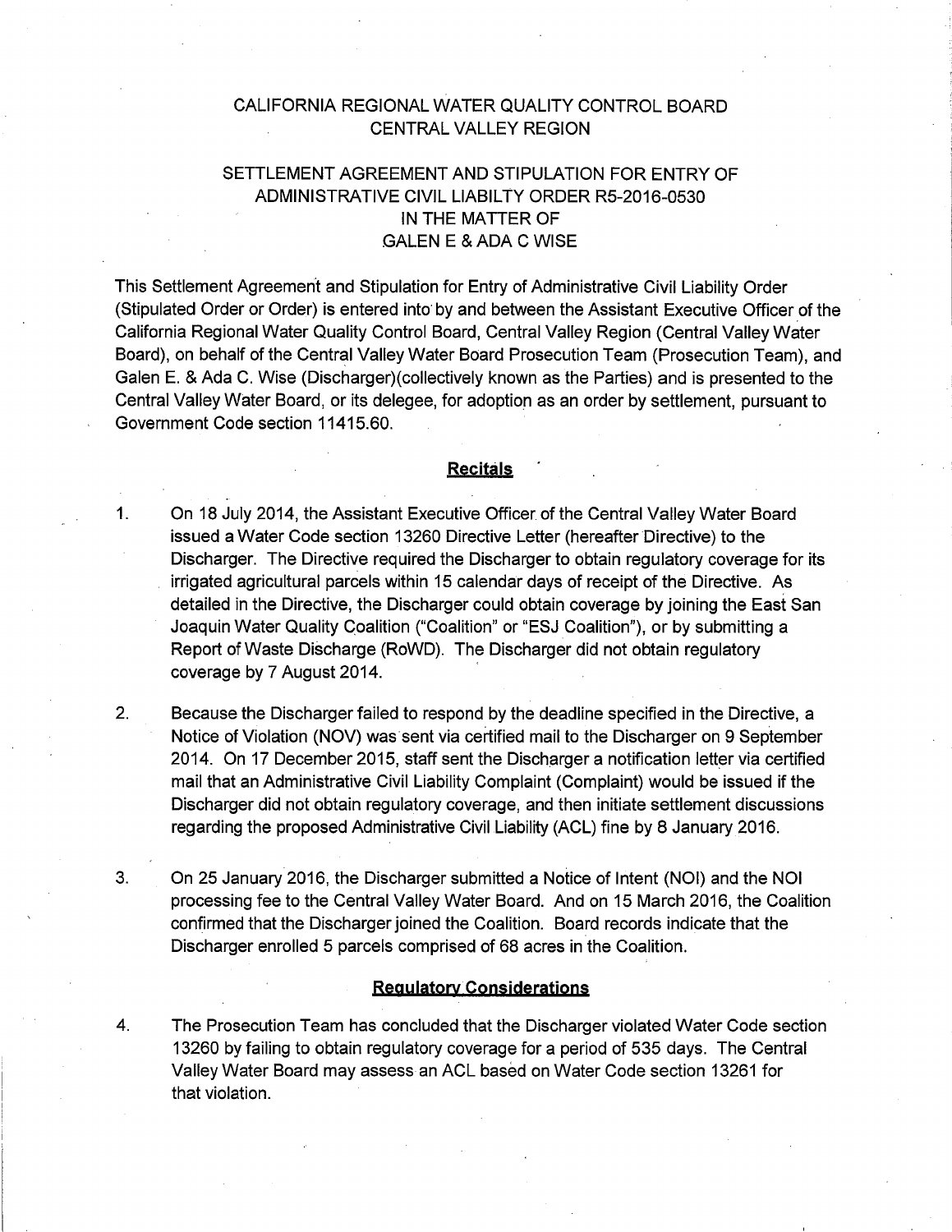## CALIFORNIA REGIONAL WATER QUALITY CONTROL BOARD CENTRAL VALLEY REGION

# SETTLEMENT AGREEMENT AND STIPULATION FOR ENTRY OF ADMINISTRATIVE CIVIL LIABILTY ORDER R5-2016-0530 IN THE MATTER OF GALEN E & ADA C WISE

This Settlement Agreement and Stipulation for Entry of Administrative Civil Liability Order (Stipulated Order or Order) is entered into· by and between the Assistant Executive Officer of the California Regional Water Quality Control Board, Central Valley Region (Central Valley Water Board), on behalf of the Central Valley Water Board Prosecution Team (Prosecution Team), and Galen E. & Ada C. Wise (Discharger)( collectively known as the Parties) and is presented to the Central Valley Water Board, or its delegee, for adoption as an order by settlement, pursuant to Government Code section 11415.60.

#### **Recitals**

- 1. On 18 July 2014, the Assistant Executive Officer of the Central Valley Water Board issued a Water Code section 13260 Directive Letter (hereafter Directive) to the Discharger. The Directive required the Discharger to obtain regulatory coverage for its irrigated agricultural parcels within 15 calendar days of receipt of the Directive. As detailed in the Directive, the Discharger could obtain coverage by joining the East San Joaquin Water Quality Coalition ("Coalition" or "ESJ Coalition"), or by submitting a Report of Waste Discharge (RoWD). The Discharger did not obtain regulatory coverage by 7 August 2014.
- 2. Because the Discharger failed to respond by the deadline specified in the Directive, a Notice of Violation (NOV) was sent via certified mail to the Discharger on 9 September 2014. On 17 December 2015, staff sent the Discharger a notification letter via certified mail that an Administrative Civil Liability Complaint (Complaint) would be issued if the Discharger did not obtain regulatory coverage, and then initiate settlement discussions regarding the proposed Administrative Civil Liability (ACL) fine by 8 January 2016.
- 3. On 25 January 2016, the Discharger submitted a Notice of Intent (NOI) and the NOI processing fee to the Central Valley Water Board. And on 15 March 2016, the Coalition confirmed that the Discharger joined the Coalition. Board records indicate that the Discharger enrolled 5 parcels comprised of 68 acres in the Coalition.

#### **Regylatorv Consideratjons**

4. The Prosecution Team has concluded that the Discharger violated Water Code section 13260 by failing to obtain regulatory coverage for a period of 535 days. The Central Valley Water Board may assess an ACL based on Water Code section 13261 for that violation.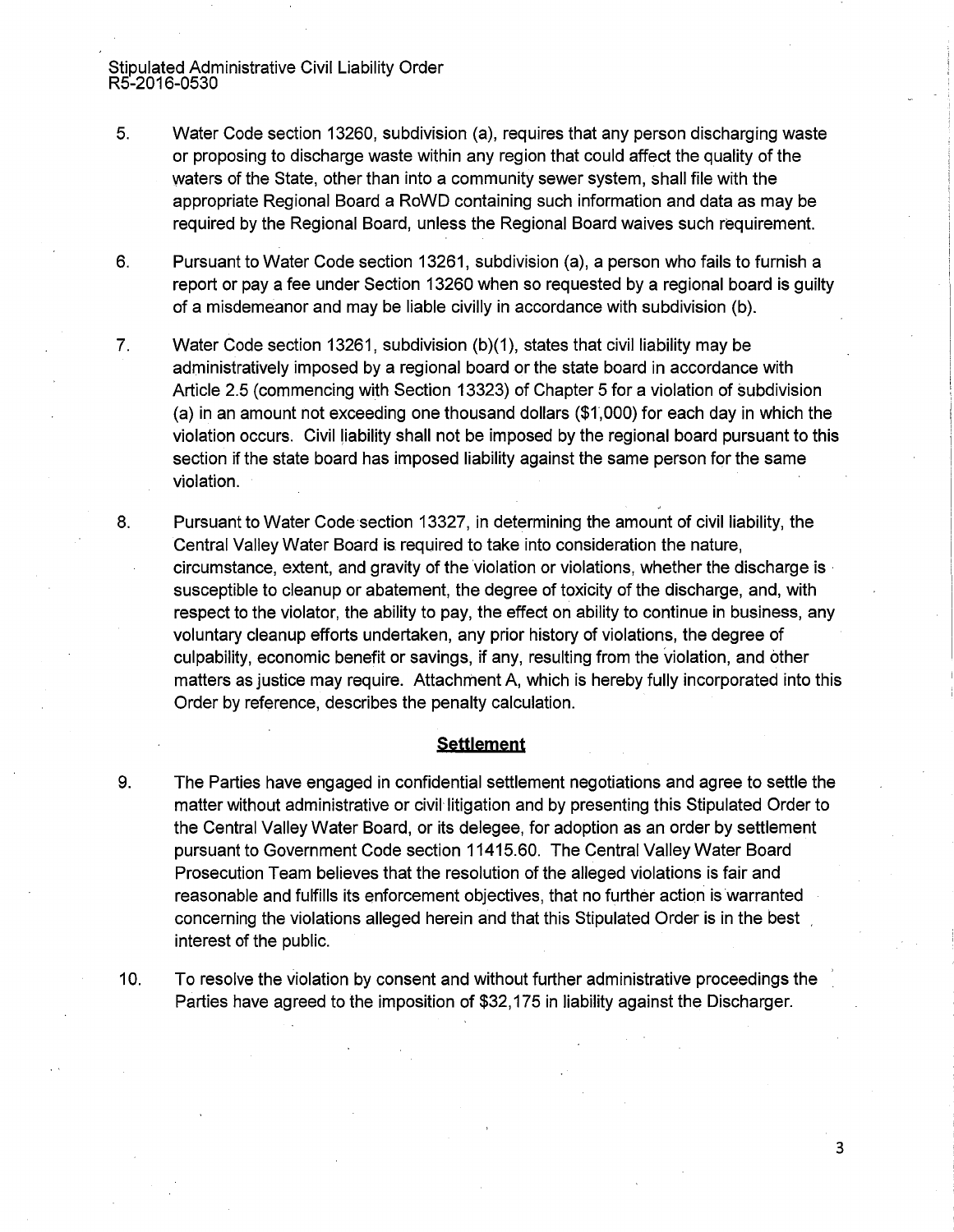Stipulated Administrative Civil Liability Order R5-2016-0530

- 5. Water Code section 13260, subdivision (a), requires that any person discharging waste or proposing to discharge waste within any region that could affect the quality of the waters of the State, other than into a community sewer system, shall file with the appropriate Regional Board a RoWD containing such information and data as may be required by the Regional Board, unless the Regional Board waives such requirement.
- 6. Pursuant to Water Code section 13261, subdivision (a), a person who fails to furnish a report or pay a fee under Section 13260 when so requested by a regional board is guilty of a misdemeanor and may be liable civilly in accordance with subdivision (b).
- 7. Water Code section 13261, subdivision (b)(1), states that civil liability may be administratively imposed by a regional board or the state board in accordance with Article 2.5 (commencing with Section 13323) of Chapter 5 for a violation of subdivision (a) in an amount not exceeding one thousand dollars (\$1 ,000) for each day in which the violation occurs. Civil liability shall not be imposed by the regional board pursuant to this section if the state board has imposed liability against the same person for the same violation.
- 8. Pursuant to Water Code section 13327, in determining the amount of civil liability, the Central Valley Water Board is required to take into consideration the nature, circumstance, extent, and gravity of the violation or violations, whether the discharge is · susceptible to cleanup or abatement, the degree of toxicity of the discharge, and, with respect to the violator, the ability to pay, the effect on ability to continue in business, any voluntary cleanup efforts undertaken, any prior history of violations, the degree of culpability, economic benefit or savings, if any, resulting from the violation, and other matters as justice may require. Attachment A, which is hereby fully incorporated into this Order by reference, describes the penalty calculation.

### **Settlement**

- 9. The Parties have engaged in confidential settlement negotiations and agree to settle the matter without administrative or civil litigation and by presenting this Stipulated Order to the Central Valley Water Board, or its delegee, for adoption as an order by settlement pursuant to Government Code section 11415.60. The Central Valley Water Board Prosecution Team believes that the resolution of the alleged violations is fair and reasonable and fulfills its enforcement objectives, that no further action is warranted concerning the violations alleged herein and that this Stipulated Order is in the best interest of the public.
- 10. To resolve the violation by consent and without further administrative proceedings the Parties have agreed to the imposition of \$32,175 in liability against the Discharger.

3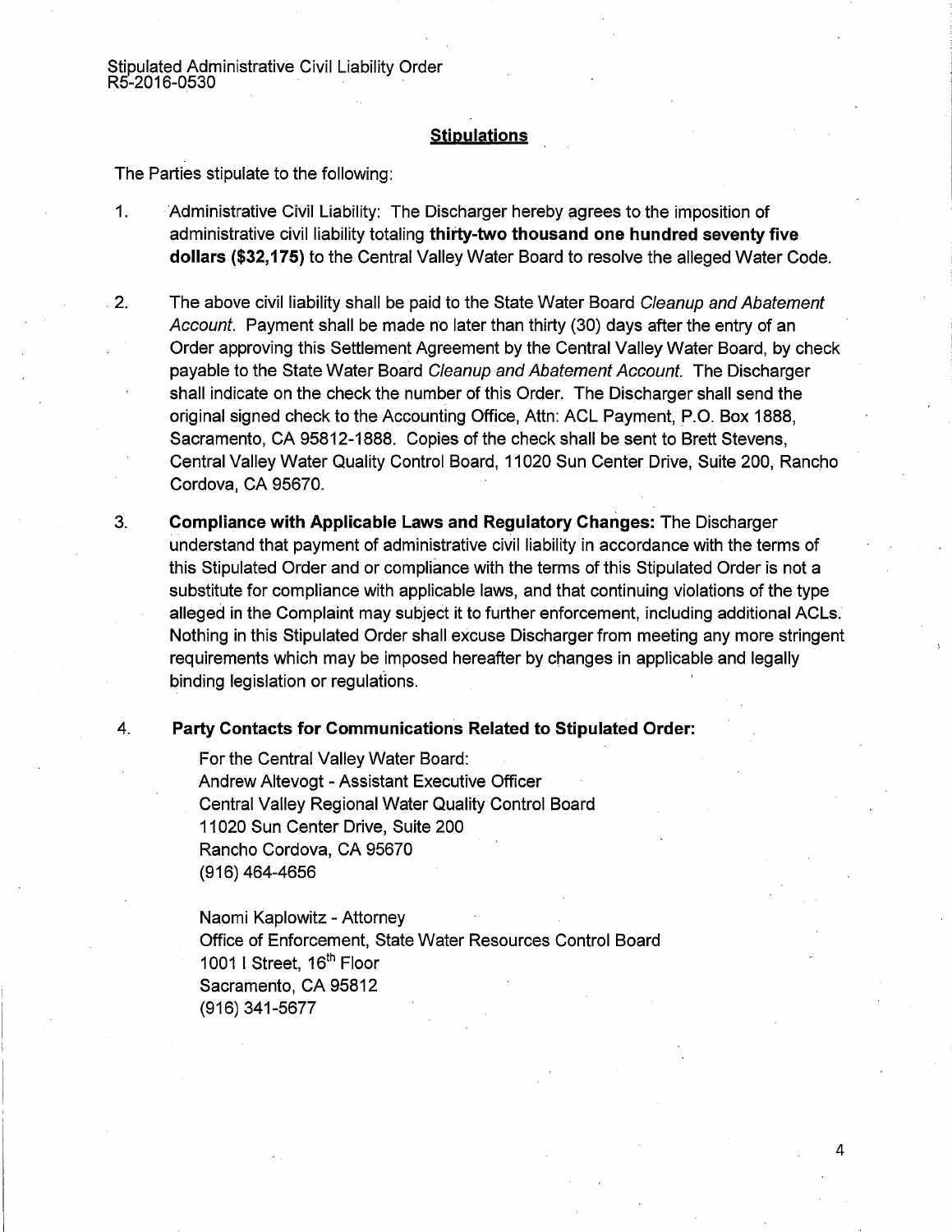Stipulated Administrative Civil Liability Order R5-2016-0530 ·

### **Stipulations**

The Parties stipulate to the following:

- 1. Administrative Civil Liability: The Discharger hereby agrees to the imposition of administrative civil liability totaling **thirty-two thousand one hundred seventy five dollars (\$32, 175)** to the Central Valley Water Board to resolve the alleged Water Code.
- 2. The above civil liability shall be paid to the State Water Board Cleanup and Abatement Account. Payment shall be made no later than thirty (30) days after the entry of an Order approving this Settlement Agreement by the Central Valley Water Board, by check payable to the State Water Board Cleanup and Abatement Account. The Discharger shall indicate on the check the number of this Order. The Discharger shall send the original signed check to the Accounting Office, Attn: ACL Payment, P.O. Box 1888, Sacramento, CA 95812-1888. Copies of the check shall be sent to Brett Stevens, Central Valley Water Quality Control Board, 11 020 Sun Center Drive, Suite 200, Rancho Cordova, CA 95670.
- 3. **Compliance with Applicable Laws and Regulatory Changes:** The Discharger understand that payment of administrative civil liability in accordance with the terms of this Stipulated Order and or compliance with the terms of this Stipulated Order is not a substitute for compliance with applicable laws, and that continuing violations of the type alleged in the Complaint may subject it to further enforcement, including additional ACLs. Nothing in this Stipulated Order shall excuse Discharger from meeting any more stringent requirements which may be imposed hereafter by changes in applicable and legally binding legislation or regulations.

### 4. **Party Contacts for Communications Related to Stipulated Order:**

For the Central Valley Water Board: Andrew Altevogt - Assistant Executive Officer Central Valley Regional Water Quality Control Board 11 020 Sun Center Drive, Suite 200 Rancho Cordova, CA 95670 (916) 464-4656

Naomi Kaplowitz - Attorney Office of Enforcement, State Water Resources Control Board 1001 I Street, 16<sup>th</sup> Floor Sacramento, CA 95812 (916) 341-5677

4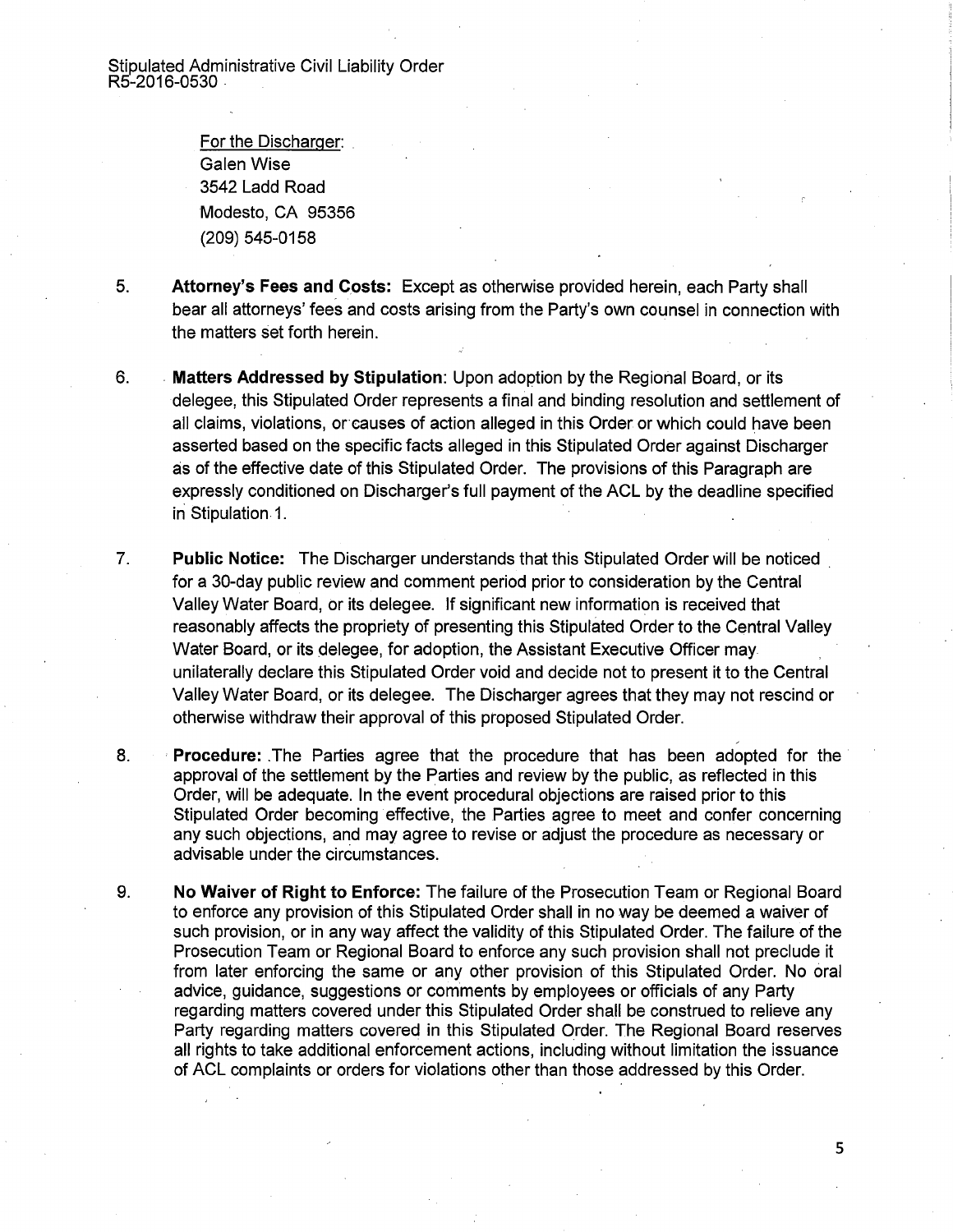Stipulated Administrative Civil Liability Order R5-2016-0530-

> For the Discharger: Galen Wise 3542 Ladd Road Modesto, CA 95356 (209) 545-0158

- 5. **Attorney's Fees and Costs:** Except as otherwise provided herein, each Party shall bear all attorneys' fees and costs arising from the Party's own counsel in connection with the matters set forth herein.
- 6. . **Matters Addressed by Stipulation:** Upon adoption by the Regional Board, or its delegee, this Stipulated Order represents a final and binding resolution and settlement of all claims, violations, or causes of action alleged in this Order or which could have been asserted based on the specific facts alleged in this Stipulated Order against Discharger as of the effective date of this Stipulated Order. The provisions of this Paragraph are expressly conditioned on Discharger's full payment of the ACL by the deadline specified in Stipulation 1.
- 7. **Public Notice:** The Discharger understands that this Stipulated Order will be noticed . for a 30-day public review and comment period prior to consideration by the Central Valley Water Board, or its delegee. If significant new information is received that reasonably affects the propriety of presenting this Stipulated Order to the Central Valley Water Board, or its delegee, for adoption, the Assistant Executive Officer may unilaterally declare this Stipulated Order void and decide not to present it to the Central Valley Water Board, or its delegee. The Discharger agrees that they may not rescind or otherwise withdraw their approval of this proposed Stipulated Order.
- 8. **Procedure:** .The Parties agree that the procedure that has been adopted for the approval of the settlement by the Parties and review by the public, as reflected in this Order, will be adequate. In the event procedural objections are raised prior to this Stipulated Order becoming effective, the Parties agree to meet and confer concerning any such objections, and may agree to revise or adjust the procedure as necessary or advisable under the circumstances.
- 9. **No Waiver of Right to Enforce:** The failure of the Prosecution Team or Regional Board to enforce any provision of this Stipulated Order shall in no way be deemed a waiver of such provision, or in any way affect the validity of this Stipulated Order. The failure of the Prosecution Team or Regional Board to enforce any such provision shall not preclude it from later enforcing the same or any other provision of this Stipulated Order. No oral advice, guidance, suggestions or comments by employees or officials of any Party regarding matters covered under this Stipulated Order shall be construed to relieve any Party regarding matters covered in this Stipulated Order. The Regional Board reserves all rights to take additional enforcement actions, including without limitation the issuance of ACL complaints or orders for violations other than those addressed by this Order.

5

~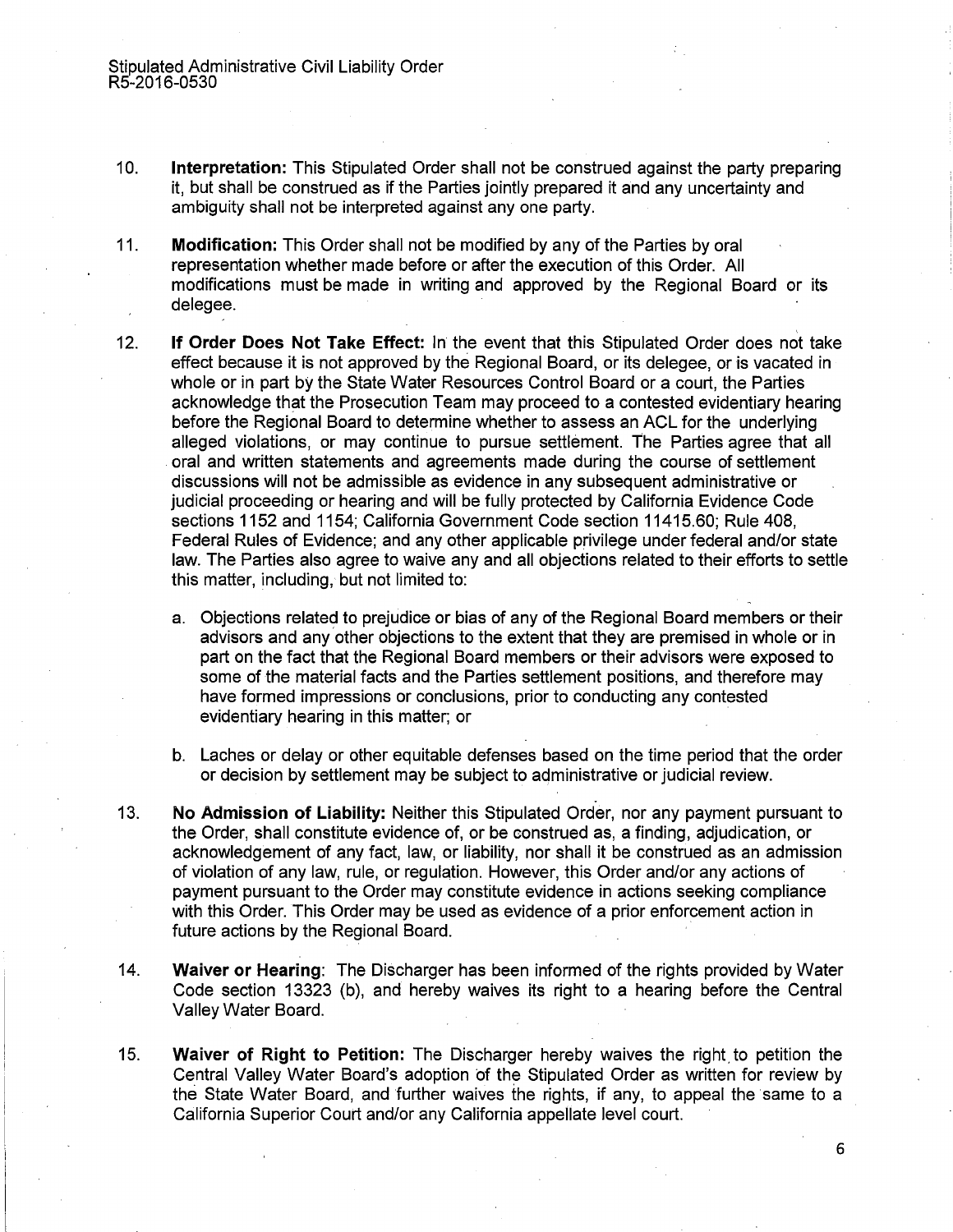- 10. **Interpretation:** This Stipulated Order shall not be construed against the party preparing it, but shall be construed as if the Parties jointly prepared it and any uncertainty and ambiguity shall not be interpreted against any one party.
- 11. **Modification:** This Order shall not be modified by any of the Parties by oral representation whether made before or after the execution of this Order. All modifications must be made in writing and approved by the Regional Board or its delegee.
- 12. **If Order Does Not Take Effect:** In the event that this Stipulated Order does not take effect because it is not approved by the Regional Board, or its delegee, or is vacated in whole or in part by the State Water Resources Control Board or a court, the Parties acknowledge that the Prosecution Team may proceed to a contested evidentiary hearing before the Regional Board to determine whether to assess an ACL for the underlying alleged violations, or may continue to pursue settlement. The Parties agree that all oral and written statements and agreements made during the course of settlement discussions will not be admissible as evidence in any subsequent administrative or judicial proceeding or hearing and will be fully protected by California Evidence Code sections 1152 and 1154; California Government Code section 11415.60; Rule 408, Federal Rules of Evidence; and any other applicable privilege under federal and/or state law. The Parties also agree to waive any and all objections related to their efforts to settle this matter, including, but not limited to:
	- a. Objections related to prejudice or bias of any of the Regional Board members or their advisors and any other objections to the extent that they are premised in whole or in part on the fact that the Regional Board members or their advisors were exposed to some of the material facts and the Parties settlement positions, and therefore may have formed impressions or conclusions, prior to conducting any contested evidentiary hearing in this matter; or
	- b. Laches or delay or other equitable defenses based on the time period that the order or decision by settlement may be subject to administrative or judicial review.
- 13. **No Admission of Liability:** Neither this Stipulated Order, nor any payment pursuant to the Order, shall constitute evidence of, or be eonstrued as, a finding, adjudication, or acknowledgement of any fact, law, or liability, nor shall it be construed as an admission of violation of any law, rule, or regulation. However, this Order and/or any actions of payment pursuant to the Order may constitute evidence in actions seeking compliance with this Order. This Order may be used as evidence of a prior enforcement action in future actions by the Regional Board.
- 14. **Waiver or Hearing:** The Discharger has been informed of the rights provided by Water Code section 13323 (b), and hereby waives its right to a hearing before the Central Valley Water Board.
- 15. **Waiver of Right to Petition:** The Discharger hereby waives the right. to petition the Central Valley Water Board's adoption of the Stipulated Order as written for review by the State Water Board, and further waives the rights, if any, to appeal the same to a California Superior Court and/or any California appellate level court.

6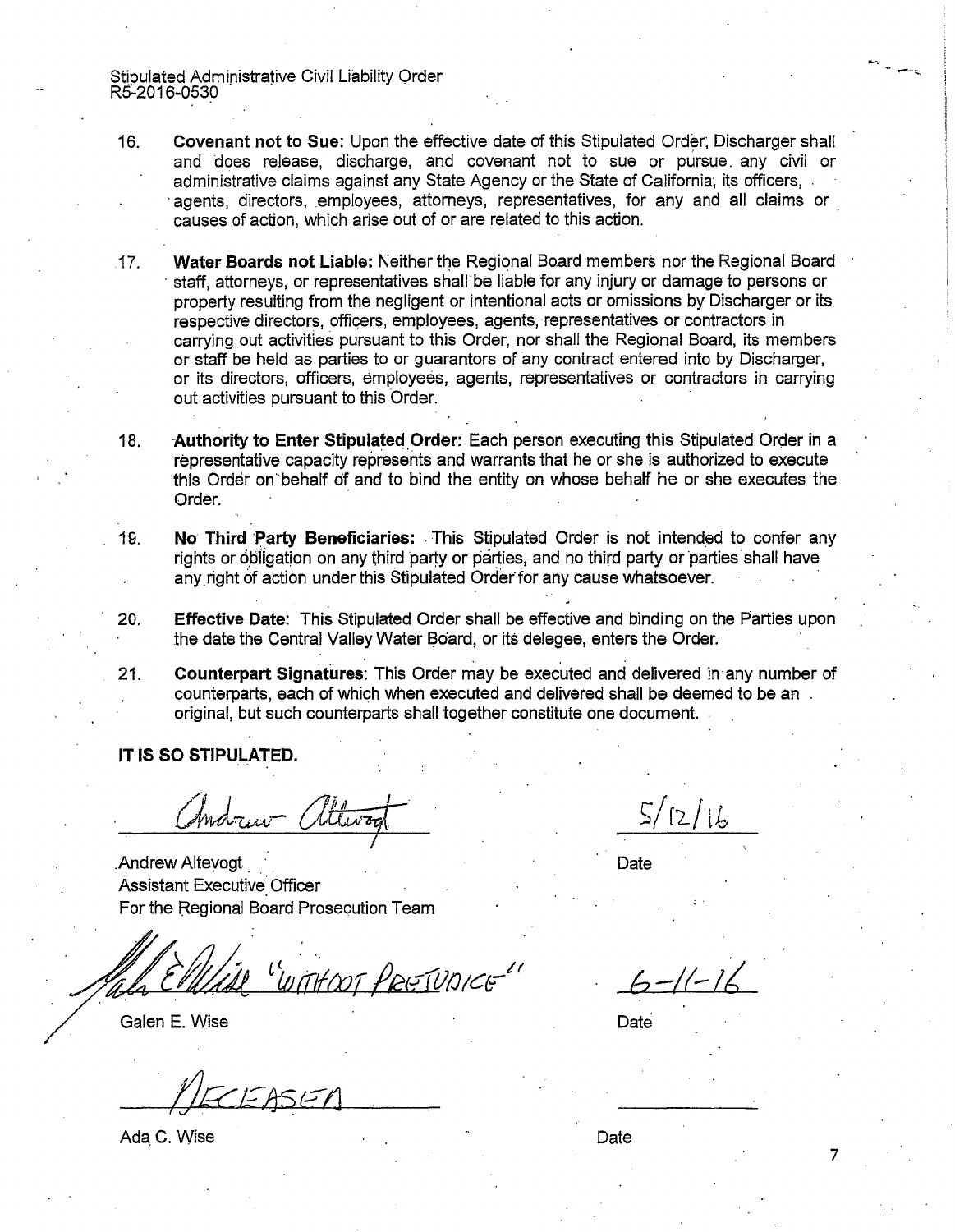Stipulated Administrative Civil Liability Order RS-2016-0530

- 16. Covenant not to Sue: Upon the effective date of this Stipulated Order; Discharger shall and does release, discharge, and covenant not to sue or pursue. any civil or administrative claims against any State Agency or the State of California; its officers, . agents, directors, employees, attorneys, representatives, for any and all claims or causes of action, which arise out of or are related to this action.
- 17. Water Boards not Liable: Neither the Regional Board members nor the Regional Board staff, attorneys, or representatives shall be liable for any injury or damage to persons or property resulting from the negligent or intentional acts or omissions by Discharger or its respective directors, officers, employees, agents, representatives or contractors in carrying out activities pursuant to this Order, nor shall the Regional Board, its members or staff be held as parties to or guarantors of any contract entered into by Discharger, or its directors, officers, employees, agents, representatives or contractors in carrying out activities pursuant to this Order.
- 18. Authority to Enter Stipulated Order: Each person executing this Stipulated Order in a representative capacity represents and warrants that he or she is authorized to execute this Order on behalf of and to bind the entity on whose behalf he or she executes the Order.
- 19. No Third Party Beneficiaries: This Stipulated Order is not intended to confer any rights or obligation on any third party or parties, and no third party or parties shall have any right of action under this Stipulated Order for any cause whatsoever.
- 20. **Effective Date:** This Stipulated Order shall be effective and binding on the Parties upon the date the Central Valley Water Board, or its delegee, enters the Order.
- 21. Counterpart Signatures: This Order may be executed and delivered in·any number of counterparts, each of which when executed and delivered shall be deemed to be an original, but such counterparts shall together constitute one document.

IT IS SO STIPULATED.

Andrew attern

. Andrew Altevogt Assistant Executive Officer For the Regional Board Prosecution Team

WITHOOT PRETUDICE

Galen E. Wise

Ada C. Wise

Date

*b-/(.-/t* 

**Date** 

Date

7

... .,..,. ... ~.